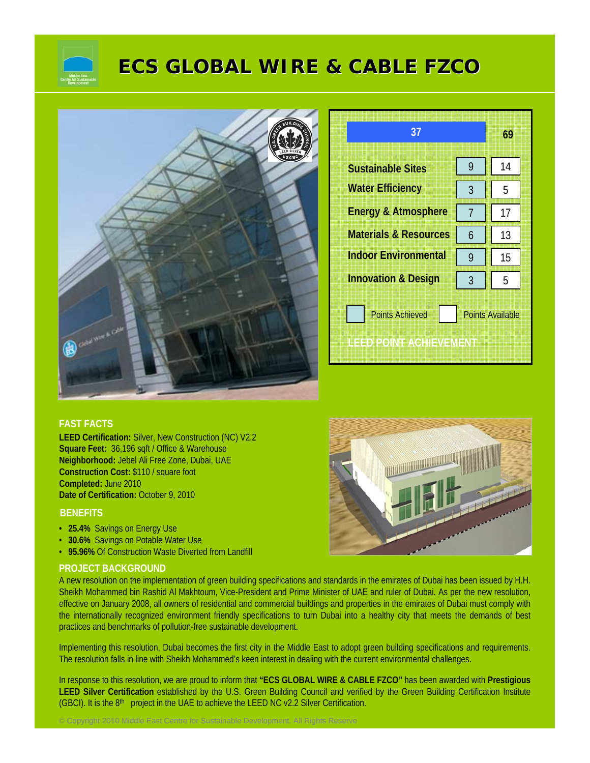

# **ECS GLOBAL WIRE & CABLE FZCO ECS GLOBAL WIRE & CABLE FZCO**



| 37                               |                         | 69 |
|----------------------------------|-------------------------|----|
| <b>Sustainable Sites</b>         | 9                       | 14 |
| <b>Water Efficiency</b>          | 3                       | 5  |
| <b>Energy &amp; Atmosphere</b>   | 7                       | 17 |
| <b>Materials &amp; Resources</b> | 6                       | 13 |
| <b>Indoor Environmental</b>      | 9                       | 15 |
| <b>Innovation &amp; Design</b>   | 3                       | 5  |
| <b>Points Achieved</b>           | <b>Points Available</b> |    |
| LEED POINT AGHIEVEMENT           |                         |    |

#### **FAST FACTS**

**LEED Certification:** Silver, New Construction (NC) V2.2 **Square Feet:** 36,196 sqft / Office & Warehouse **Neighborhood:** Jebel Ali Free Zone, Dubai, UAE **Construction Cost:** \$110 / square foot **Completed:** June 2010 **Date of Certification:** October 9, 2010

#### **BENEFITS**

- **25.4%** Savings on Energy Use
- **30.6%** Savings on Potable Water Use
- **95.96%** Of Construction Waste Diverted from Landfill

© Copyright 2010 Middle East Centre for Sustainable Development. All Rights Reserve

#### **PROJECT BACKGROUND**

A new resolution on the implementation of green building specifications and standards in the emirates of Dubai has been issued by H.H. Sheikh Mohammed bin Rashid Al Makhtoum, Vice-President and Prime Minister of UAE and ruler of Dubai. As per the new resolution, effective on January 2008, all owners of residential and commercial buildings and properties in the emirates of Dubai must comply with the internationally recognized environment friendly specifications to turn Dubai into a healthy city that meets the demands of best practices and benchmarks of pollution-free sustainable development.

Implementing this resolution, Dubai becomes the first city in the Middle East to adopt green building specifications and requirements. The resolution falls in line with Sheikh Mohammed's keen interest in dealing with the current environmental challenges.

In response to this resolution, we are proud to inform that **"ECS GLOBAL WIRE & CABLE FZCO"** has been awarded with **Prestigious LEED Silver Certification** established by the U.S. Green Building Council and verified by the Green Building Certification Institute (GBCI). It is the  $8<sup>th</sup>$  project in the UAE to achieve the LEED NC v2.2 Silver Certification.